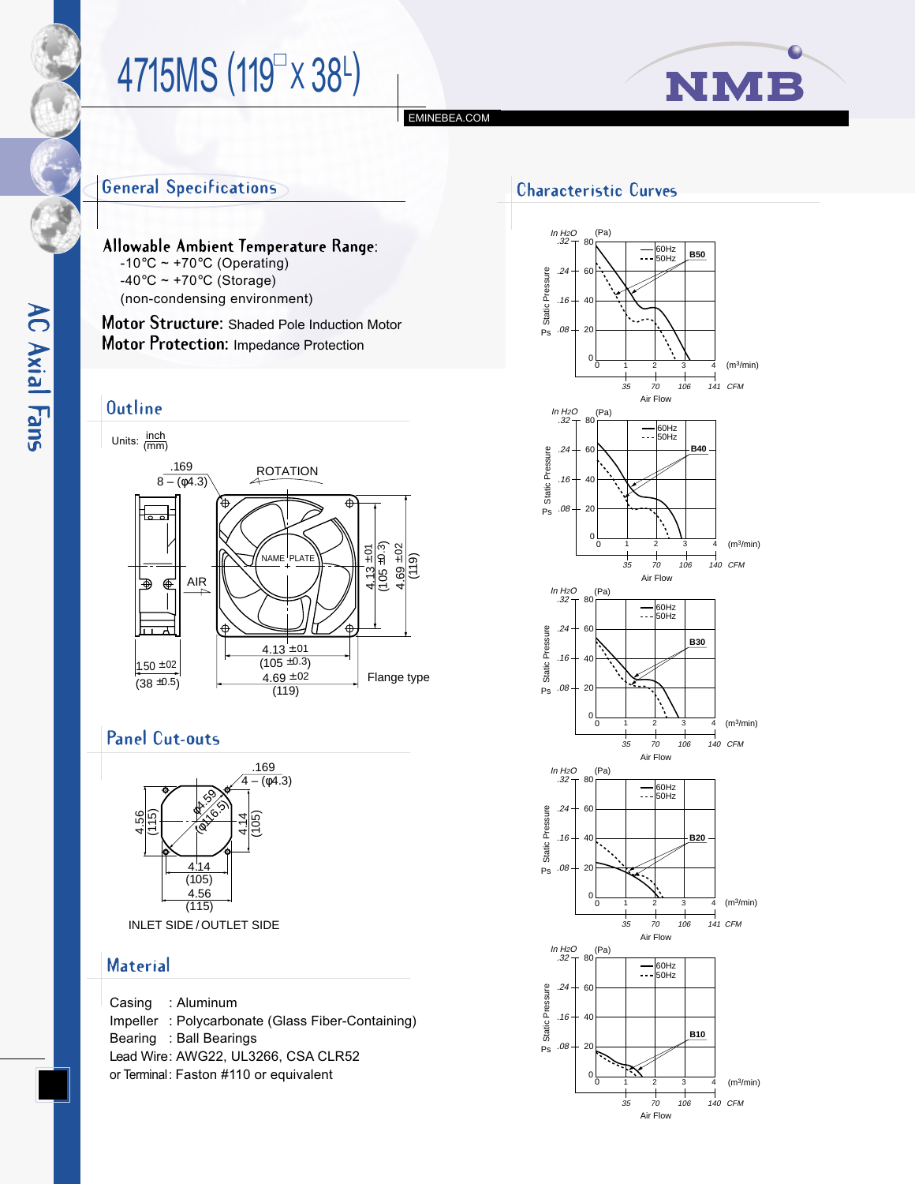# 4715MS (119<sup>T</sup> x 38<sup>L</sup>)



# **General Specifications**

Allowable Ambient Temperature Range:  $-10^{\circ}$ C ~ +70 $^{\circ}$ C (Operating)  $-40\degree$ C ~ +70 $\degree$ C (Storage) (non-condensing environment)

**Motor Structure:** Shaded Pole Induction Motor **Motor Protection:** Impedance Protection

#### **Outline**

**AC Axial Fans** 





### **Panel Cut-outs**



INLET SIDE / OUTLET SIDE

#### **Material**

Casing : Aluminum Impeller : Polycarbonate (Glass Fiber-Containing) Bearing : Ball Bearings Lead Wire: AWG22, UL3266, CSA CLR52 *or* Terminal: Faston #110 or equivalent

# **Characteristic Curves**

[EMINEBEA.COM](http://www.eminebea.com)